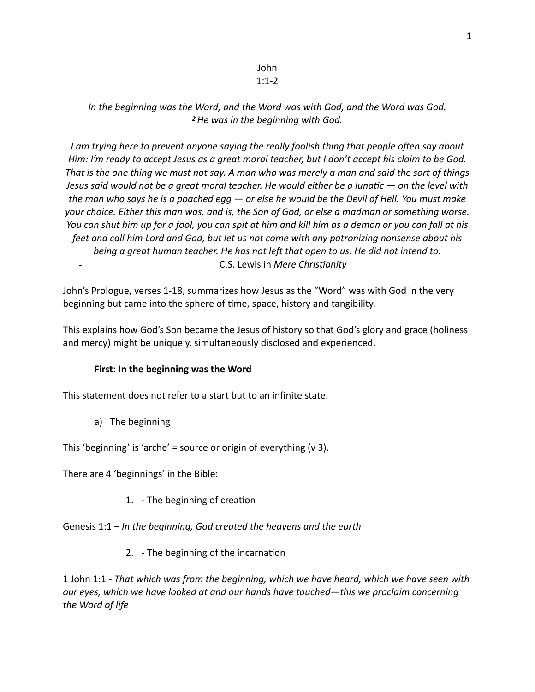## John 1:1-2

# *In the beginning was the Word, and the Word was with God, and the Word was God. <sup>2</sup>He was in the beginning with God.*

*I am trying here to prevent anyone saying the really foolish thing that people often say about Him: I'm ready to accept Jesus as a great moral teacher, but I don't accept his claim to be God. That is the one thing we must not say. A man who was merely a man and said the sort of things Jesus said would not be a great moral teacher. He would either be a lunatic — on the level with the man who says he is a poached egg — or else he would be the Devil of Hell. You must make your choice. Either this man was, and is, the Son of God, or else a madman or something worse. You can shut him up for a fool, you can spit at him and kill him as a demon or you can fall at his feet and call him Lord and God, but let us not come with any patronizing nonsense about his*  being a great human teacher. He has not left that open to us. He did not intend to. - C.S. Lewis in *Mere Christianity* 

John's Prologue, verses 1-18, summarizes how Jesus as the "Word" was with God in the very beginning but came into the sphere of time, space, history and tangibility.

This explains how God's Son became the Jesus of history so that God's glory and grace (holiness and mercy) might be uniquely, simultaneously disclosed and experienced.

## **First: In the beginning was the Word**

This statement does not refer to a start but to an infinite state.

a) The beginning

This 'beginning' is 'arche' = source or origin of everything (v 3).

There are 4 'beginnings' in the Bible:

1. - The beginning of creation

Genesis 1:1 – *In the beginning, God created the heavens and the earth* 

2. - The beginning of the incarnation

1 John 1:1 - *That which was from the beginning, which we have heard, which we have seen with our eyes, which we have looked at and our hands have touched—this we proclaim concerning the Word of life*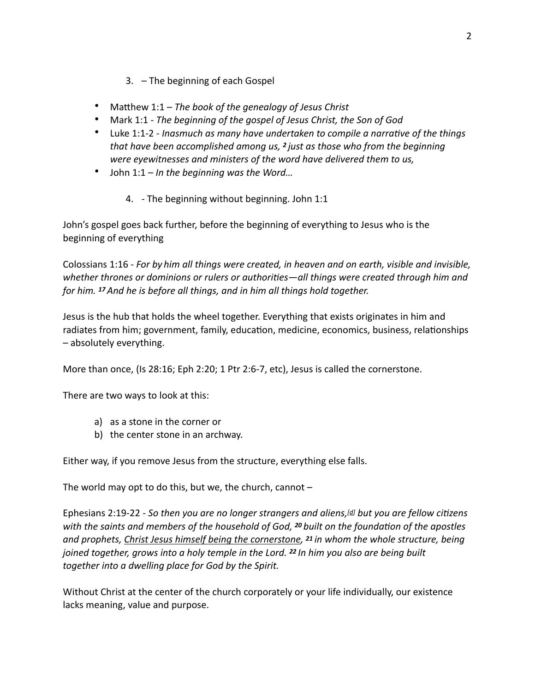- 3. The beginning of each Gospel
- Matthew 1:1 *The book of the genealogy of Jesus Christ*
- Mark 1:1 *The beginning of the gospel of Jesus Christ, the Son of God*
- Luke 1:1-2 *Inasmuch as many have undertaken to compile a narrative of the things that have been accomplished among us, 2 just as those who from the beginning were eyewitnesses and ministers of the word have delivered them to us,*
- John 1:1 *In the beginning was the Word…* 
	- 4. The beginning without beginning. John 1:1

John's gospel goes back further, before the beginning of everything to Jesus who is the beginning of everything

Colossians 1:16 - *For by him all things were created, in heaven and on earth, visible and invisible,*  whether thrones or dominions or rulers or authorities—all things were created through him and *for him. 17 And he is before all things, and in him all things hold together.* 

Jesus is the hub that holds the wheel together. Everything that exists originates in him and radiates from him; government, family, education, medicine, economics, business, relationships – absolutely everything.

More than once, (Is 28:16; Eph 2:20; 1 Ptr 2:6-7, etc), Jesus is called the cornerstone.

There are two ways to look at this:

- a) as a stone in the corner or
- b) the center stone in an archway.

Either way, if you remove Jesus from the structure, everything else falls.

The world may opt to do this, but we, the church, cannot  $-$ 

Ephesians 2:19-22 - So then you are no longer strangers and aliens,<sup>[\[d](https://www.biblegateway.com/passage/?search=ephesians+2&version=ESV#fen-ESV-29232d)]</sup> but you are fellow citizens *with the saints and members of the household of God, <sup>20</sup> built on the foundation of the apostles and prophets, Christ Jesus himself being the cornerstone, 21 in whom the whole structure, being joined together, grows into a holy temple in the Lord. 22 In him you also are being built together into a dwelling place for God by the Spirit.* 

Without Christ at the center of the church corporately or your life individually, our existence lacks meaning, value and purpose.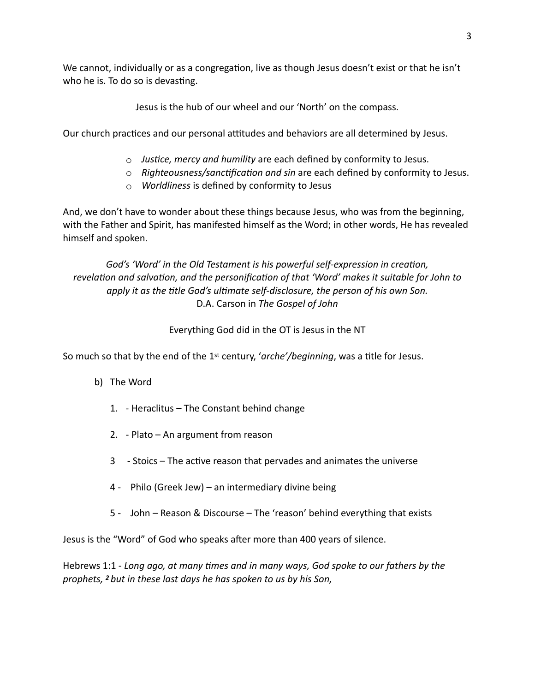We cannot, individually or as a congregation, live as though Jesus doesn't exist or that he isn't who he is. To do so is devasting.

Jesus is the hub of our wheel and our 'North' on the compass.

Our church practices and our personal attitudes and behaviors are all determined by Jesus.

- $\circ$  *Justice, mercy and humility* are each defined by conformity to Jesus.
- o Righteousness/sanctification and sin are each defined by conformity to Jesus.
- o *Worldliness* is defined by conformity to Jesus

And, we don't have to wonder about these things because Jesus, who was from the beginning, with the Father and Spirit, has manifested himself as the Word; in other words, He has revealed himself and spoken.

God's 'Word' in the Old Testament is his powerful self-expression in creation, revelation and salvation, and the personification of that 'Word' makes it suitable for John to apply it as the title God's ultimate self-disclosure, the person of his own Son. D.A. Carson in *The Gospel of John* 

Everything God did in the OT is Jesus in the NT

So much so that by the end of the 1<sup>st</sup> century, 'arche'/beginning, was a title for Jesus.

- b) The Word
	- 1. Heraclitus The Constant behind change
	- 2. Plato An argument from reason
	- 3 Stoics The active reason that pervades and animates the universe
	- 4 Philo (Greek Jew) an intermediary divine being
	- 5 John Reason & Discourse The 'reason' behind everything that exists

Jesus is the "Word" of God who speaks after more than 400 years of silence.

Hebrews 1:1 - *Long ago, at many times and in many ways, God spoke to our fathers by the prophets, 2 but in these last days he has spoken to us by his Son,*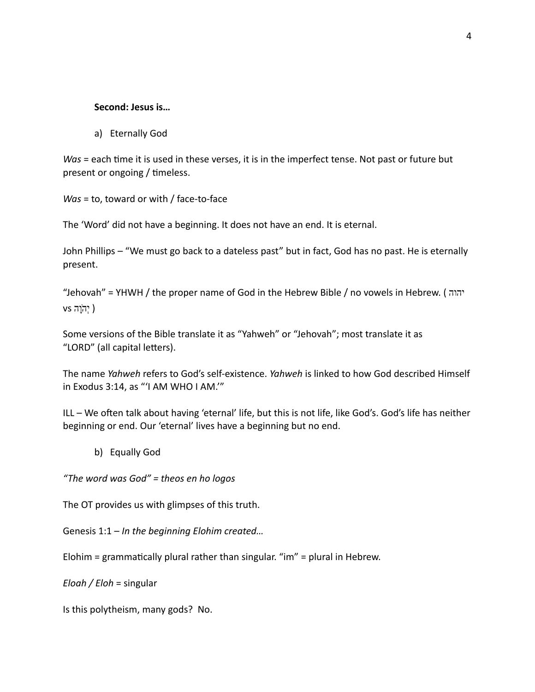## **Second: Jesus is…**

a) Eternally God

*Was* = each time it is used in these verses, it is in the imperfect tense. Not past or future but present or ongoing / timeless.

*Was* = to, toward or with / face-to-face

The 'Word' did not have a beginning. It does not have an end. It is eternal.

John Phillips – "We must go back to a dateless past" but in fact, God has no past. He is eternally present.

"Jehovah" = YHWH / the proper name of God in the Hebrew Bible / no vowels in Hebrew. ( יהוה ( יְה ֹוָה vs

Some versions of the Bible translate it as "Yahweh" or "Jehovah"; most translate it as "LORD" (all capital letters).

The name *Yahweh* refers to God's self-existence. *Yahweh* is linked to how God described Himself in Exodus 3:14, as "'I AM WHO I AM.'"

ILL - We often talk about having 'eternal' life, but this is not life, like God's. God's life has neither beginning or end. Our 'eternal' lives have a beginning but no end.

b) Equally God

*"The word was God" = theos en ho logos* 

The OT provides us with glimpses of this truth.

Genesis 1:1 – *In the beginning Elohim created…* 

Elohim = grammatically plural rather than singular. "im" = plural in Hebrew.

*Eloah / Eloh* = singular

Is this polytheism, many gods? No.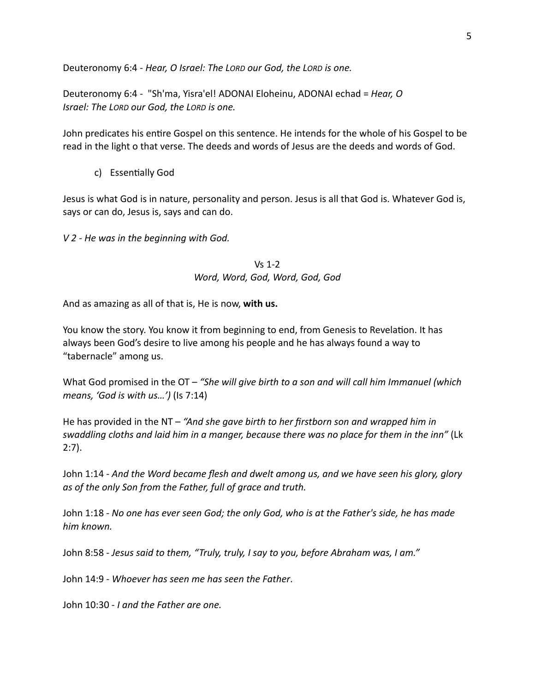Deuteronomy 6:4 - *Hear, O Israel: The LORD our God, the LORD is one.* 

Deuteronomy 6:4 - "Sh'ma, Yisra'el! ADONAI Eloheinu, ADONAI echad = *Hear, O Israel: The LORD our God, the LORD is one.*

John predicates his entire Gospel on this sentence. He intends for the whole of his Gospel to be read in the light o that verse. The deeds and words of Jesus are the deeds and words of God.

c) Essentially God

Jesus is what God is in nature, personality and person. Jesus is all that God is. Whatever God is, says or can do, Jesus is, says and can do.

*V 2 - He was in the beginning with God.* 

Vs 1-2 *Word, Word, God, Word, God, God*

And as amazing as all of that is, He is now, **with us.** 

You know the story. You know it from beginning to end, from Genesis to Revelation. It has always been God's desire to live among his people and he has always found a way to "tabernacle" among us.

What God promised in the OT – *"She will give birth to a son and will call him Immanuel (which means, 'God is with us…')* (Is 7:14)

He has provided in the NT – *"And she gave birth to her firstborn son and wrapped him in swaddling cloths and laid him in a manger, because there was no place for them in the inn"* (Lk 2:7).

John 1:14 - *And the Word became flesh and dwelt among us, and we have seen his glory, glory as of the only Son from the Father, full of grace and truth.*

John 1:18 - *No one has ever seen God; the only God, who is at the Father's side, he has made him known.* 

John 8:58 - *Jesus said to them, "Truly, truly, I say to you, before Abraham was, I am."*

John 14:9 - *Whoever has seen me has seen the Father*.

John 10:30 - *I and the Father are one.*